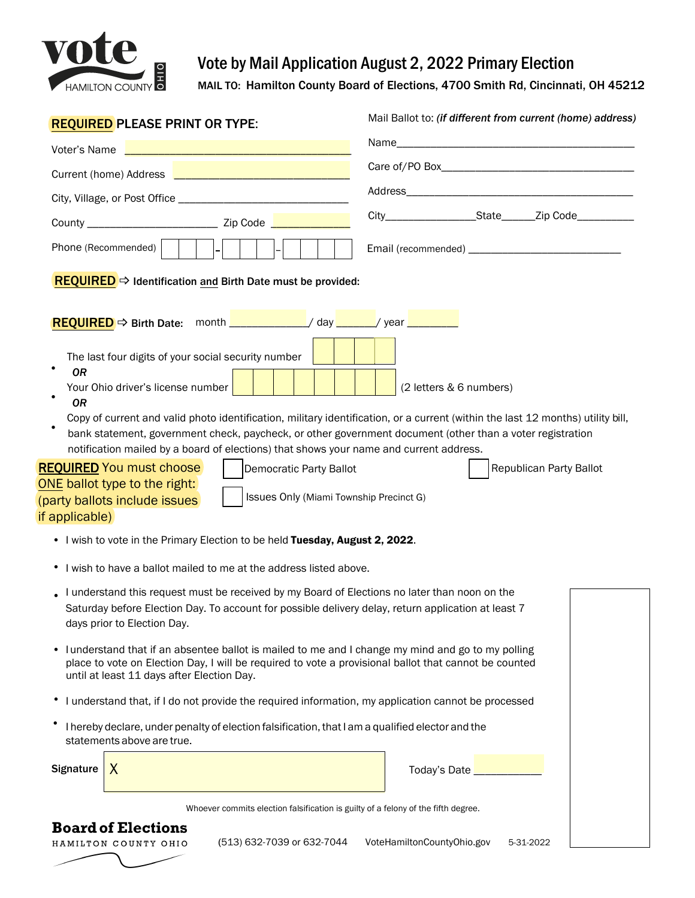

## Vote by Mail Application August 2, 2022 Primary Election

MAIL TO: Hamilton County Board of Elections, 4700 Smith Rd, Cincinnati, OH 45212

| <b>REQUIRED PLEASE PRINT OR TYPE:</b>                                                                                              | Mail Ballot to: (if different from current (home) address)                                                                      |
|------------------------------------------------------------------------------------------------------------------------------------|---------------------------------------------------------------------------------------------------------------------------------|
| Voter's Name                                                                                                                       |                                                                                                                                 |
| Current (home) Address <b>Lating Contract Current</b> (home)                                                                       |                                                                                                                                 |
|                                                                                                                                    |                                                                                                                                 |
|                                                                                                                                    | City_______________________State_________Zip Code____________                                                                   |
| Phone (Recommended)                                                                                                                |                                                                                                                                 |
|                                                                                                                                    |                                                                                                                                 |
| <b>REQUIRED</b> $\Rightarrow$ Identification and Birth Date must be provided:                                                      |                                                                                                                                 |
| REQUIRED → Birth Date: month __________/ day _____/ year _______                                                                   |                                                                                                                                 |
|                                                                                                                                    |                                                                                                                                 |
| The last four digits of your social security number<br><b>OR</b>                                                                   |                                                                                                                                 |
| Your Ohio driver's license number                                                                                                  | (2 letters & 6 numbers)                                                                                                         |
| <b>OR</b>                                                                                                                          | Copy of current and valid photo identification, military identification, or a current (within the last 12 months) utility bill, |
|                                                                                                                                    | bank statement, government check, paycheck, or other government document (other than a voter registration                       |
| notification mailed by a board of elections) that shows your name and current address.<br><b>REQUIRED</b> You must choose          |                                                                                                                                 |
| Democratic Party Ballot<br>ONE ballot type to the right:                                                                           | Republican Party Ballot                                                                                                         |
| (party ballots include issues                                                                                                      | Issues Only (Miami Township Precinct G)                                                                                         |
| if applicable)                                                                                                                     |                                                                                                                                 |
| . I wish to vote in the Primary Election to be held Tuesday, August 2, 2022.                                                       |                                                                                                                                 |
| • I wish to have a ballot mailed to me at the address listed above.                                                                |                                                                                                                                 |
| I understand this request must be received by my Board of Elections no later than noon on the                                      |                                                                                                                                 |
| Saturday before Election Day. To account for possible delivery delay, return application at least 7<br>days prior to Election Day. |                                                                                                                                 |
| lunderstand that if an absentee ballot is mailed to me and I change my mind and go to my polling                                   |                                                                                                                                 |
| place to vote on Election Day, I will be required to vote a provisional ballot that cannot be counted                              |                                                                                                                                 |
| until at least 11 days after Election Day.                                                                                         |                                                                                                                                 |
| I understand that, if I do not provide the required information, my application cannot be processed<br>٠                           |                                                                                                                                 |
| I hereby declare, under penalty of election falsification, that I am a qualified elector and the<br>statements above are true.     |                                                                                                                                 |
| Signature<br>X                                                                                                                     | Today's Date _________                                                                                                          |
|                                                                                                                                    |                                                                                                                                 |
|                                                                                                                                    | Whoever commits election falsification is guilty of a felony of the fifth degree.                                               |
| <b>Board of Elections</b><br>(513) 632-7039 or 632-7044<br>HAMILTON COUNTY OHIO                                                    | VoteHamiltonCountyOhio.gov<br>5-31-2022                                                                                         |